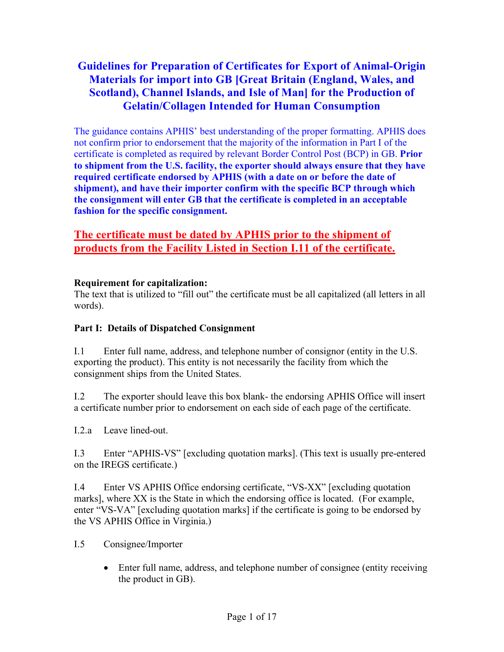# **Guidelines for Preparation of Certificates for Export of Animal-Origin Materials for import into GB [Great Britain (England, Wales, and Scotland), Channel Islands, and Isle of Man] for the Production of Gelatin/Collagen Intended for Human Consumption**

 not confirm prior to endorsement that the majority of the information in Part I of the  **required certificate endorsed by APHIS (with a date on or before the date of**  The guidance contains APHIS' best understanding of the proper formatting. APHIS does certificate is completed as required by relevant Border Control Post (BCP) in GB. **Prior to shipment from the U.S. facility, the exporter should always ensure that they have shipment), and have their importer confirm with the specific BCP through which the consignment will enter GB that the certificate is completed in an acceptable fashion for the specific consignment.** 

 **The certificate must be dated by APHIS prior to the shipment of products from the Facility Listed in Section I.11 of the certificate.** 

## **Requirement for capitalization:**

 words). The text that is utilized to "fill out" the certificate must be all capitalized (all letters in all

### **Part I: Details of Dispatched Consignment**

I.1 Enter full name, address, and telephone number of consignor (entity in the U.S. exporting the product). This entity is not necessarily the facility from which the consignment ships from the United States.

 I.2 The exporter should leave this box blank- the endorsing APHIS Office will insert a certificate number prior to endorsement on each side of each page of the certificate.

I.2.a Leave lined-out.

 I.3 Enter "APHIS-VS" [excluding quotation marks]. (This text is usually pre-entered on the IREGS certificate.)

 I.4 Enter VS APHIS Office endorsing certificate, "VS-XX" [excluding quotation enter "VS-VA" [excluding quotation marks] if the certificate is going to be endorsed by marks], where XX is the State in which the endorsing office is located. (For example, the VS APHIS Office in Virginia.)

- I.5 Consignee/Importer
	- Enter full name, address, and telephone number of consignee (entity receiving the product in GB).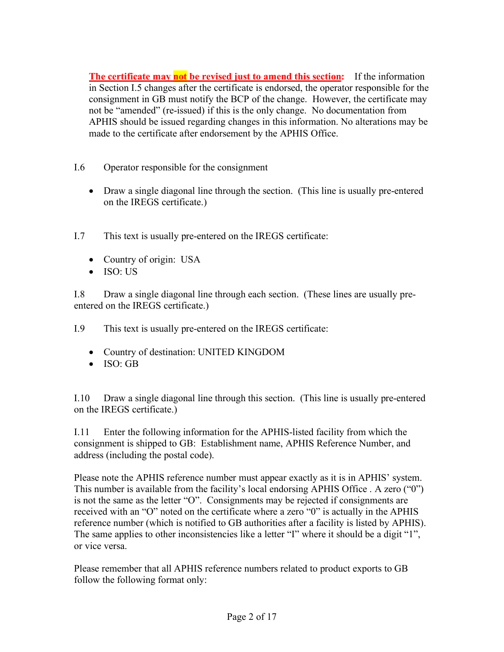**The certificate may not be revised just to amend this section:** If the information made to the certificate after endorsement by the APHIS Office. in Section I.5 changes after the certificate is endorsed, the operator responsible for the consignment in GB must notify the BCP of the change. However, the certificate may not be "amended" (re-issued) if this is the only change. No documentation from APHIS should be issued regarding changes in this information. No alterations may be

- $I.6$ Operator responsible for the consignment
	- • Draw a single diagonal line through the section. (This line is usually pre-entered on the IREGS certificate.)
- I.7 This text is usually pre-entered on the IREGS certificate:
	- Country of origin: USA
	- ISO: US

 I.8 Draw a single diagonal line through each section. (These lines are usually pre-entered on the IREGS certificate.)

I.9 This text is usually pre-entered on the IREGS certificate:

- Country of destination: UNITED KINGDOM
- ISO: GB

 I.10 Draw a single diagonal line through this section. (This line is usually pre-entered on the IREGS certificate.)

 I.11 Enter the following information for the APHIS-listed facility from which the consignment is shipped to GB: Establishment name, APHIS Reference Number, and address (including the postal code).

 This number is available from the facility's local endorsing APHIS Office . A zero ("0") Please note the APHIS reference number must appear exactly as it is in APHIS' system. is not the same as the letter "O". Consignments may be rejected if consignments are received with an "O" noted on the certificate where a zero "0" is actually in the APHIS reference number (which is notified to GB authorities after a facility is listed by APHIS). The same applies to other inconsistencies like a letter "I" where it should be a digit "1", or vice versa.

 follow the following format only: Please remember that all APHIS reference numbers related to product exports to GB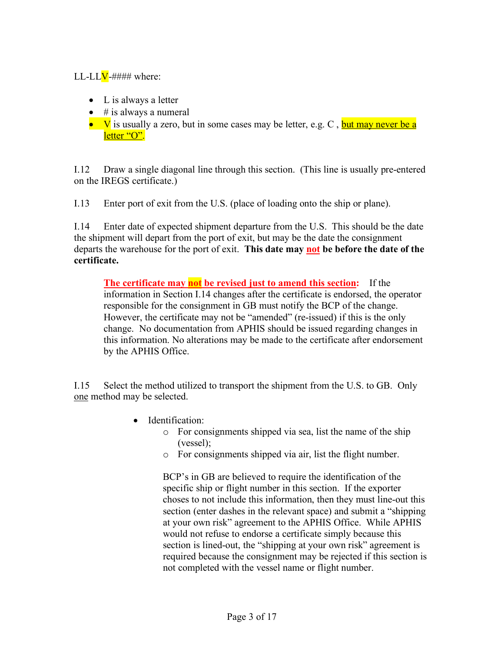LL-LLV-#### where:

- L is always a letter
- $\bullet$  # is always a numeral
- V is usually a zero, but in some cases may be letter, e.g. C, but may never be a letter "O".

 I.12 Draw a single diagonal line through this section. (This line is usually pre-entered on the IREGS certificate.)

I.13 Enter port of exit from the U.S. (place of loading onto the ship or plane).

 I.14 Enter date of expected shipment departure from the U.S. This should be the date the shipment will depart from the port of exit, but may be the date the consignment departs the warehouse for the port of exit. **This date may not be before the date of the**  certificate.  **certificate. The certificate may not be revised just to amend this section:** If the

 However, the certificate may not be "amended" (re-issued) if this is the only by the APHIS Office. information in Section I.14 changes after the certificate is endorsed, the operator responsible for the consignment in GB must notify the BCP of the change. change. No documentation from APHIS should be issued regarding changes in this information. No alterations may be made to the certificate after endorsement

 I.15 Select the method utilized to transport the shipment from the U.S. to GB. Only one method may be selected.

- • Identification:
	- o For consignments shipped via sea, list the name of the ship (vessel);
		- o For consignments shipped via air, list the flight number.

 BCP's in GB are believed to require the identification of the not completed with the vessel name or flight number. specific ship or flight number in this section. If the exporter choses to not include this information, then they must line-out this section (enter dashes in the relevant space) and submit a "shipping at your own risk" agreement to the APHIS Office. While APHIS would not refuse to endorse a certificate simply because this section is lined-out, the "shipping at your own risk" agreement is required because the consignment may be rejected if this section is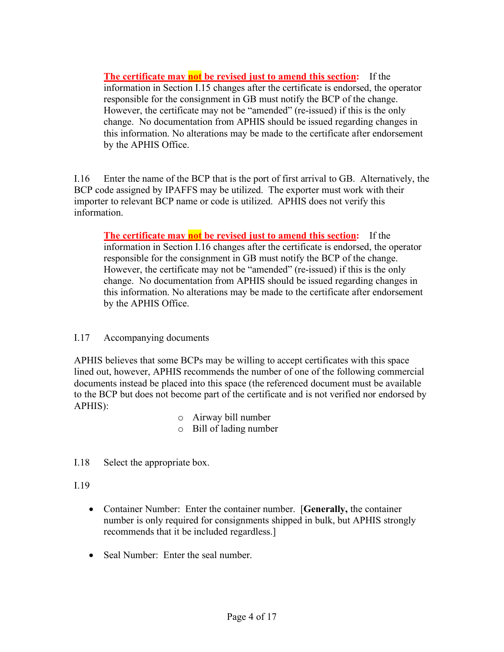**The certificate may not be revised just to amend this section:** If the However, the certificate may not be "amended" (re-issued) if this is the only change. No documentation from APHIS should be issued regarding changes in by the APHIS Office. information in Section I.15 changes after the certificate is endorsed, the operator responsible for the consignment in GB must notify the BCP of the change. this information. No alterations may be made to the certificate after endorsement

 I.16 Enter the name of the BCP that is the port of first arrival to GB. Alternatively, the BCP code assigned by IPAFFS may be utilized. The exporter must work with their information. importer to relevant BCP name or code is utilized. APHIS does not verify this

**The certificate may not be revised just to amend this section:** If the However, the certificate may not be "amended" (re-issued) if this is the only by the APHIS Office. information in Section I.16 changes after the certificate is endorsed, the operator responsible for the consignment in GB must notify the BCP of the change. change. No documentation from APHIS should be issued regarding changes in this information. No alterations may be made to the certificate after endorsement

### I.17 Accompanying documents

APHIS believes that some BCPs may be willing to accept certificates with this space lined out, however, APHIS recommends the number of one of the following commercial documents instead be placed into this space (the referenced document must be available to the BCP but does not become part of the certificate and is not verified nor endorsed by APHIS):

- o Airway bill number
- o Bill of lading number

I.18 Select the appropriate box.

# I.19

- • Container Number: Enter the container number. [**Generally,** the container number is only required for consignments shipped in bulk, but APHIS strongly recommends that it be included regardless.]
- Seal Number: Enter the seal number.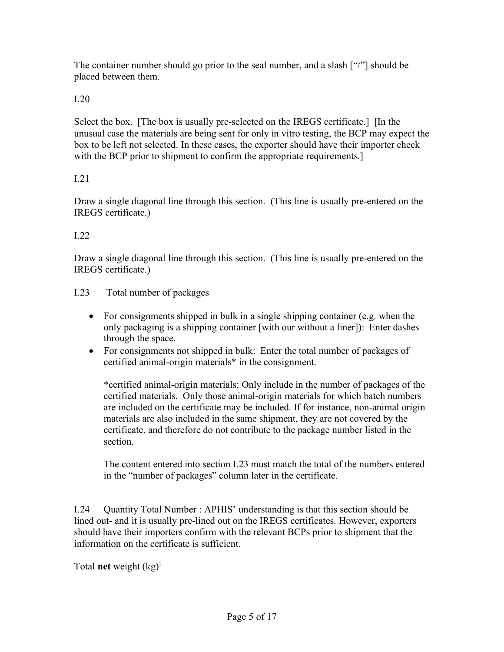The container number should go prior to the seal number, and a slash ["/"] should be placed between them.

# I.20

 Select the box. [The box is usually pre-selected on the IREGS certificate.] [In the box to be left not selected. In these cases, the exporter should have their importer check unusual case the materials are being sent for only in vitro testing, the BCP may expect the with the BCP prior to shipment to confirm the appropriate requirements.

# I.21

 Draw a single diagonal line through this section. (This line is usually pre-entered on the IREGS certificate.)

# I.22

 Draw a single diagonal line through this section. (This line is usually pre-entered on the IREGS certificate.)

#### $1.23$ Total number of packages

- For consignments shipped in bulk in a single shipping container (e.g. when the only packaging is a shipping container [with our without a liner]): Enter dashes through the space.
- For consignments not shipped in bulk: Enter the total number of packages of certified animal-origin materials\* in the consignment.

certified animal-origin materials\* in the consignment.<br>\*certified animal-origin materials: Only include in the number of packages of the certified materials. Only those animal-origin materials for which batch numbers are included on the certificate may be included. If for instance, non-animal origin materials are also included in the same shipment, they are not covered by the certificate, and therefore do not contribute to the package number listed in the section.

 The content entered into section I.23 must match the total of the numbers entered in the "number of packages" column later in the certificate.

 $1.24$ Quantity Total Number : APHIS' understanding is that this section should be lined out- and it is usually pre-lined out on the IREGS certificates. However, exporters should have their importers confirm with the relevant BCPs prior to shipment that the information on the certificate is sufficient.

# Total **net** weight (kg)[i](#page-16-0)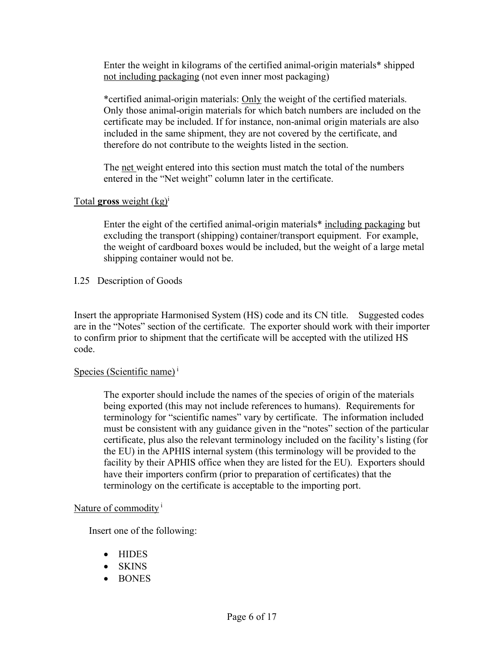Enter the weight in kilograms of the certified animal-origin materials\* shipped not including packaging (not even inner most packaging)

\*certified animal-origin materials: Only the weight of the certified materials. Only those animal-origin materials for which batch numbers are included on the certificate may be included. If for instance, non-animal origin materials are also included in the same shipment, they are not covered by the certificate, and therefore do not contribute to the weights listed in the section.

The net weight entered into this section must match the total of the numbers entered in the "Net weight" column later in the certificate.<br>Total **gross** weight (kg)<sup>i</sup>

Enter the eight of the certified animal-origin materials\* including packaging but shipping container would not be.<br>I.25 Description of Goods excluding the transport (shipping) container/transport equipment. For example, the weight of cardboard boxes would be included, but the weight of a large metal

I.25 Description of Goods

 Insert the appropriate Harmonised System (HS) code and its CN title. Suggested codes are in the "Notes" section of the certificate. The exporter should work with their importer to confirm prior to shipment that the certificate will be accepted with the utilized HS code.

### Species (Scientific name)<sup>i</sup>

 terminology for "scientific names" vary by certificate. The information included must be consistent with any guidance given in the "notes" section of the particular facility by their APHIS office when they are listed for the EU). Exporters should The exporter should include the names of the species of origin of the materials being exported (this may not include references to humans). Requirements for certificate, plus also the relevant terminology included on the facility's listing (for the EU) in the APHIS internal system (this terminology will be provided to the have their importers confirm (prior to preparation of certificates) that the terminology on the certificate is acceptable to the importing port.

#### Nature of commodity<sup>i</sup>

Insert one of the following:

- HIDES
- SKINS
- BONES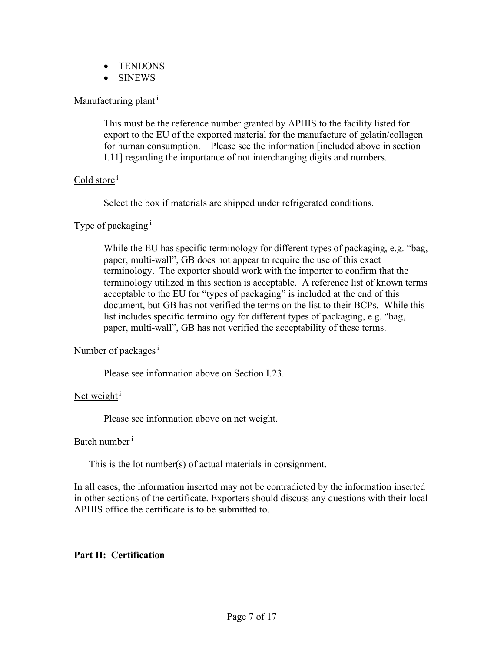- TENDONS
- SINEWS

#### Manufacturing plant<sup>i</sup>

 This must be the reference number granted by APHIS to the facility listed for export to the EU of the exported material for the manufacture of gelatin/collagen for human consumption. Please see the information [included above in section I.11] regarding the importance of not interchanging digits and numbers.<br>Cold store i

Select the box if materials are shipped under refrigerated conditions.

#### Type of packaging<sup>i</sup>

 terminology. The exporter should work with the importer to confirm that the terminology utilized in this section is acceptable. A reference list of known terms document, but GB has not verified the terms on the list to their BCPs. While this While the EU has specific terminology for different types of packaging, e.g. "bag, paper, multi-wall", GB does not appear to require the use of this exact acceptable to the EU for "types of packaging" is included at the end of this list includes specific terminology for different types of packaging, e.g. "bag, paper, multi-wall", GB has not verified the acceptability of these terms.

#### Number of packages<sup>1</sup>

Please see information above on Section I.23.

#### Net weight $<sup>1</sup>$ </sup>

Please see information above on net weight.

#### Batch number<sup>i</sup>

This is the lot number(s) of actual materials in consignment.

 in other sections of the certificate. Exporters should discuss any questions with their local In all cases, the information inserted may not be contradicted by the information inserted APHIS office the certificate is to be submitted to.

#### **Part II: Certification**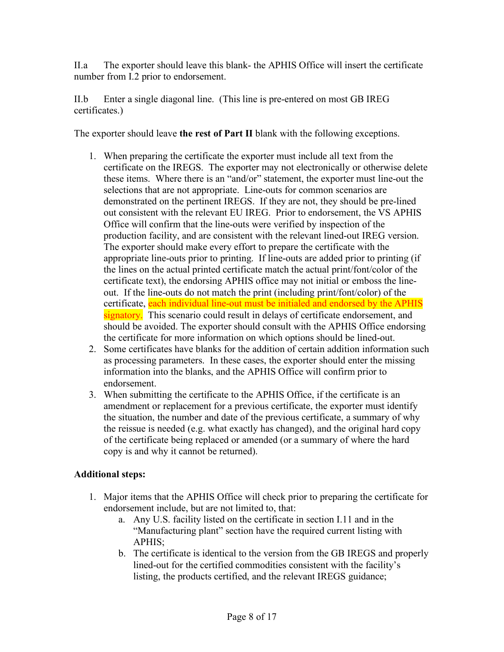II.a The exporter should leave this blank- the APHIS Office will insert the certificate number from I.2 prior to endorsement.

II.b Enter a single diagonal line. (This line is pre-entered on most GB IREG certificates.)

The exporter should leave **the rest of Part II** blank with the following exceptions.

- certificate on the IREGS. The exporter may not electronically or otherwise delete these items. Where there is an "and/or" statement, the exporter must line-out the selections that are not appropriate. Line-outs for common scenarios are demonstrated on the pertinent IREGS. If they are not, they should be pre-lined out consistent with the relevant EU IREG. Prior to endorsement, the VS APHIS signatory. This scenario could result in delays of certificate endorsement, and the certificate for more information on which options should be lined-out. 1. When preparing the certificate the exporter must include all text from the Office will confirm that the line-outs were verified by inspection of the production facility, and are consistent with the relevant lined-out IREG version. The exporter should make every effort to prepare the certificate with the appropriate line-outs prior to printing. If line-outs are added prior to printing (if the lines on the actual printed certificate match the actual print/font/color of the certificate text), the endorsing APHIS office may not initial or emboss the lineout. If the line-outs do not match the print (including print/font/color) of the certificate, each individual line-out must be initialed and endorsed by the APHIS should be avoided. The exporter should consult with the APHIS Office endorsing
- 2. Some certificates have blanks for the addition of certain addition information such as processing parameters. In these cases, the exporter should enter the missing information into the blanks, and the APHIS Office will confirm prior to endorsement.
- the situation, the number and date of the previous certificate, a summary of why of the certificate being replaced or amended (or a summary of where the hard 3. When submitting the certificate to the APHIS Office, if the certificate is an amendment or replacement for a previous certificate, the exporter must identify the reissue is needed (e.g. what exactly has changed), and the original hard copy copy is and why it cannot be returned).

# **Additional steps:**

- endorsement include, but are not limited to, that: 1. Major items that the APHIS Office will check prior to preparing the certificate for
	- a. Any U.S. facility listed on the certificate in section I.11 and in the "Manufacturing plant" section have the required current listing with APHIS;
	- b. The certificate is identical to the version from the GB IREGS and properly lined-out for the certified commodities consistent with the facility's listing, the products certified, and the relevant IREGS guidance;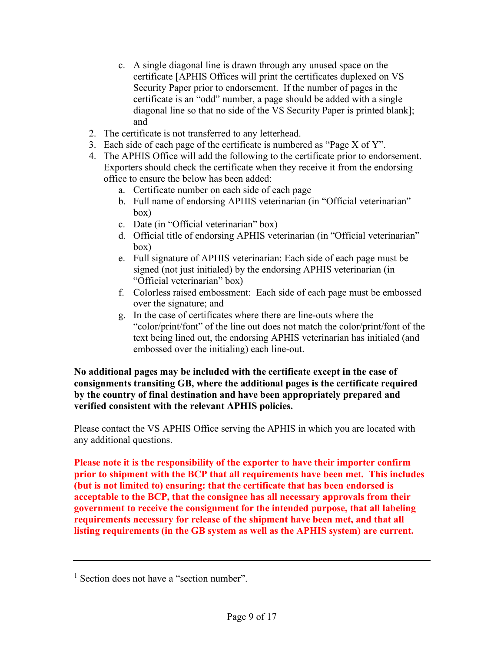- c. A single diagonal line is drawn through any unused space on the certificate [APHIS Offices will print the certificates duplexed on VS Security Paper prior to endorsement. If the number of pages in the certificate is an "odd" number, a page should be added with a single diagonal line so that no side of the VS Security Paper is printed blank]; and
- 2. The certificate is not transferred to any letterhead.
- 3. Each side of each page of the certificate is numbered as "Page  $X$  of  $Y$ ".
- 2. The certificate is not transferred to any letterhead.<br>3. Each side of each page of the certificate is numbered as "Page X of Y".<br>4. The APHIS Office will add the following to the certificate prior to endorsement. Exporters should check the certificate when they receive it from the endorsing office to ensure the below has been added:
	- a. Certificate number on each side of each page
	- b. Full name of endorsing APHIS veterinarian (in "Official veterinarian" box)
	- c. Date (in "Official veterinarian" box)
	- d. Official title of endorsing APHIS veterinarian (in "Official veterinarian" box)
	- "Official veterinarian" box) e. Full signature of APHIS veterinarian: Each side of each page must be signed (not just initialed) by the endorsing APHIS veterinarian (in
	- f. Colorless raised embossment: Each side of each page must be embossed over the signature; and
	- text being lined out, the endorsing APHIS veterinarian has initialed (and g. In the case of certificates where there are line-outs where the "color/print/font" of the line out does not match the color/print/font of the embossed over the initialing) each line-out.

 **No additional pages may be included with the certificate except in the case of consignments transiting GB, where the additional pages is the certificate required verified consistent with the relevant APHIS policies. by the country of final destination and have been appropriately prepared and** 

Please contact the VS APHIS Office serving the APHIS in which you are located with any additional questions.

 **requirements necessary for release of the shipment have been met, and that all Please note it is the responsibility of the exporter to have their importer confirm prior to shipment with the BCP that all requirements have been met. This includes (but is not limited to) ensuring: that the certificate that has been endorsed is acceptable to the BCP, that the consignee has all necessary approvals from their government to receive the consignment for the intended purpose, that all labeling listing requirements (in the GB system as well as the APHIS system) are current.** 

<sup>&</sup>lt;sup>1</sup> Section does not have a "section number".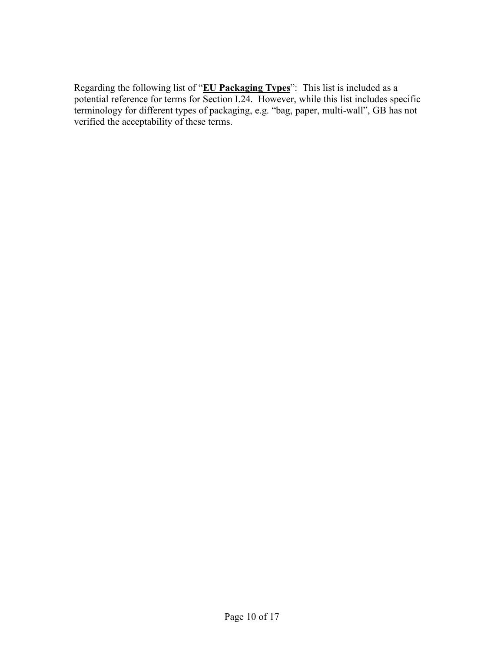Regarding the following list of "**EU Packaging Types**": This list is included as a potential reference for terms for Section I.24. However, while this list includes specific terminology for different types of packaging, e.g. "bag, paper, multi-wall", GB has not verified the acceptability of these terms.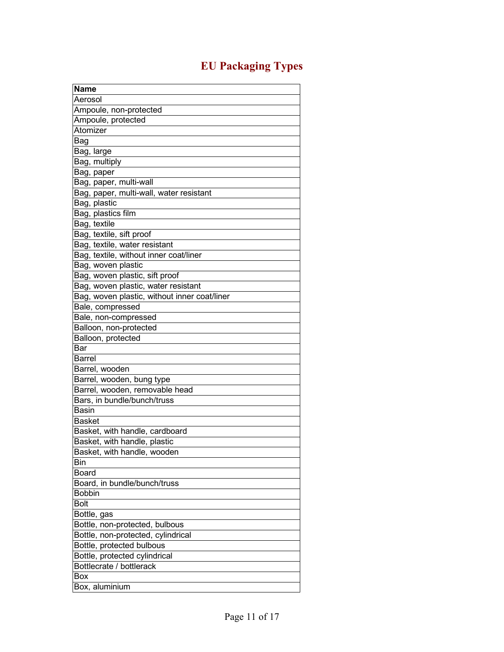# **EU Packaging Types**

| <b>Name</b>                                  |
|----------------------------------------------|
| Aerosol                                      |
| Ampoule, non-protected                       |
| Ampoule, protected                           |
| Atomizer                                     |
| Bag                                          |
| Bag, large                                   |
| Bag, multiply                                |
| Bag, paper                                   |
| Bag, paper, multi-wall                       |
| Bag, paper, multi-wall, water resistant      |
| Bag, plastic                                 |
| Bag, plastics film                           |
| Bag, textile                                 |
| Bag, textile, sift proof                     |
| Bag, textile, water resistant                |
| Bag, textile, without inner coat/liner       |
| Bag, woven plastic                           |
| Bag, woven plastic, sift proof               |
| Bag, woven plastic, water resistant          |
| Bag, woven plastic, without inner coat/liner |
| Bale, compressed                             |
| Bale, non-compressed                         |
| Balloon, non-protected                       |
| Balloon, protected                           |
| Bar                                          |
| <b>Barrel</b>                                |
| Barrel, wooden                               |
| Barrel, wooden, bung type                    |
| Barrel, wooden, removable head               |
| Bars, in bundle/bunch/truss                  |
| Basin                                        |
| Basket                                       |
| Basket, with handle, cardboard               |
| Basket, with handle, plastic                 |
| Basket, with handle, wooden                  |
| Bin                                          |
| Board                                        |
| Board, in bundle/bunch/truss                 |
| <b>Bobbin</b>                                |
| <b>Bolt</b>                                  |
| Bottle, gas                                  |
| Bottle, non-protected, bulbous               |
| Bottle, non-protected, cylindrical           |
| Bottle, protected bulbous                    |
| Bottle, protected cylindrical                |
| Bottlecrate / bottlerack                     |
| Box                                          |
| Box, aluminium                               |
|                                              |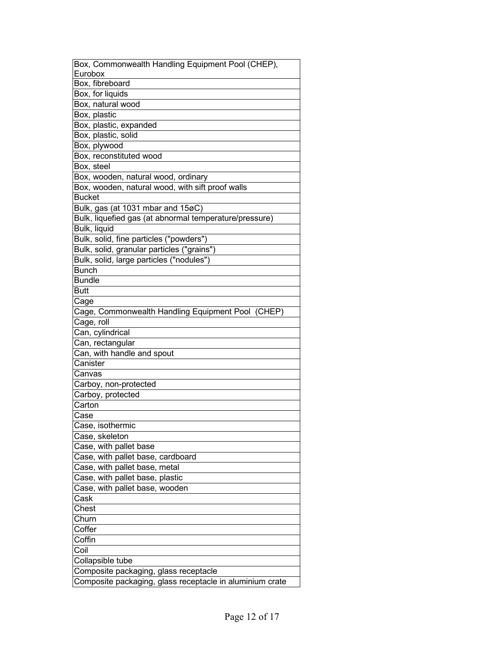| Box, Commonwealth Handling Equipment Pool (CHEP),<br>Eurobox |
|--------------------------------------------------------------|
| Box, fibreboard                                              |
|                                                              |
| Box, for liquids                                             |
| Box, natural wood                                            |
| Box, plastic                                                 |
| Box, plastic, expanded                                       |
| Box, plastic, solid                                          |
| Box, plywood                                                 |
| Box, reconstituted wood                                      |
| Box, steel                                                   |
| Box, wooden, natural wood, ordinary                          |
| Box, wooden, natural wood, with sift proof walls             |
| <b>Bucket</b>                                                |
| Bulk, gas (at 1031 mbar and 15øC)                            |
| Bulk, liquefied gas (at abnormal temperature/pressure)       |
|                                                              |
| Bulk, liquid                                                 |
| Bulk, solid, fine particles ("powders")                      |
| Bulk, solid, granular particles ("grains")                   |
| Bulk, solid, large particles ("nodules")                     |
| <b>Bunch</b>                                                 |
| <b>Bundle</b>                                                |
| Butt                                                         |
| Cage                                                         |
| Cage, Commonwealth Handling Equipment Pool (CHEP)            |
| Cage, roll                                                   |
| Can, cylindrical                                             |
| Can, rectangular                                             |
| Can, with handle and spout                                   |
|                                                              |
| Canister                                                     |
| Canvas                                                       |
| Carboy, non-protected                                        |
| Carboy, protected                                            |
| Carton                                                       |
| Case                                                         |
| Case, isothermic                                             |
| Case, skeleton                                               |
| Case, with pallet base                                       |
| Case, with pallet base, cardboard                            |
| Case, with pallet base, metal                                |
| Case, with pallet base, plastic                              |
| Case, with pallet base, wooden                               |
|                                                              |
| Cask                                                         |
| Chest                                                        |
| Churn                                                        |
| Coffer                                                       |
| Coffin                                                       |
| Coil                                                         |
| Collapsible tube                                             |
| Composite packaging, glass receptacle                        |
| Composite packaging, glass receptacle in aluminium crate     |
|                                                              |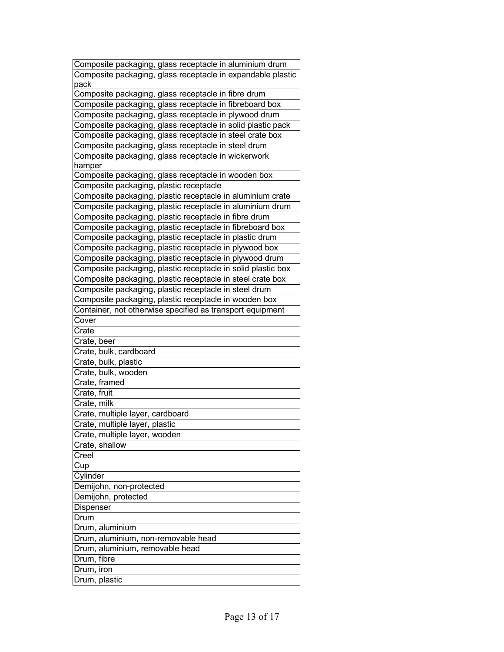| Composite packaging, glass receptacle in aluminium drum            |
|--------------------------------------------------------------------|
| Composite packaging, glass receptacle in expandable plastic        |
| pack                                                               |
| Composite packaging, glass receptacle in fibre drum                |
| Composite packaging, glass receptacle in fibreboard box            |
| Composite packaging, glass receptacle in plywood drum              |
| Composite packaging, glass receptacle in solid plastic pack        |
| Composite packaging, glass receptacle in steel crate box           |
| Composite packaging, glass receptacle in steel drum                |
| Composite packaging, glass receptacle in wickerwork                |
| hamper                                                             |
| Composite packaging, glass receptacle in wooden box                |
| Composite packaging, plastic receptacle                            |
| Composite packaging, plastic receptacle in aluminium crate         |
| Composite packaging, plastic receptacle in aluminium drum          |
| Composite packaging, plastic receptacle in fibre drum              |
| Composite packaging, plastic receptacle in fibreboard box          |
| Composite packaging, plastic receptacle in plastic drum            |
| Composite packaging, plastic receptacle in plywood box             |
| Composite packaging, plastic receptacle in plywood drum            |
| Composite packaging, plastic receptacle in solid plastic box       |
| Composite packaging, plastic receptacle in steel crate box         |
| Composite packaging, plastic receptacle in steel drum              |
| Composite packaging, plastic receptacle in wooden box              |
| Container, not otherwise specified as transport equipment          |
| Cover                                                              |
| Crate                                                              |
| Crate, beer                                                        |
| Crate, bulk, cardboard                                             |
| Crate, bulk, plastic                                               |
| Crate, bulk, wooden                                                |
| Crate, framed                                                      |
| Crate, fruit                                                       |
| Crate, milk                                                        |
|                                                                    |
| Crate, multiple layer, cardboard<br>Crate, multiple layer, plastic |
|                                                                    |
| Crate, multiple layer, wooden<br>Crate, shallow                    |
| Creel                                                              |
|                                                                    |
| Cup                                                                |
| Cylinder                                                           |
| Demijohn, non-protected                                            |
| Demijohn, protected                                                |
| Dispenser                                                          |
| Drum                                                               |
| Drum, aluminium                                                    |
| Drum, aluminium, non-removable head                                |
| Drum, aluminium, removable head                                    |
| Drum, fibre                                                        |
| Drum, iron                                                         |
| Drum, plastic                                                      |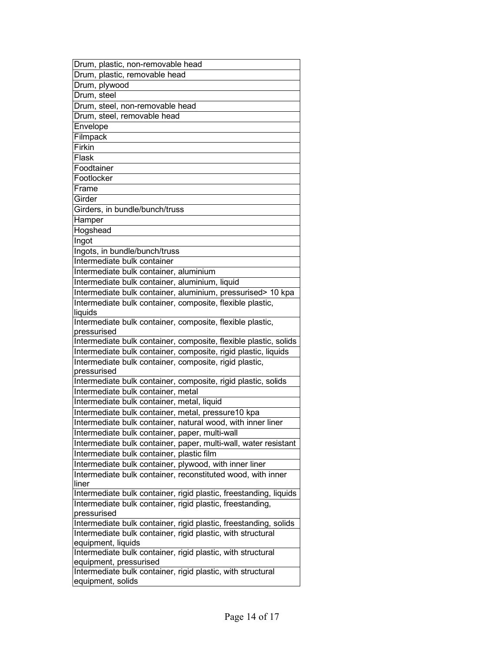| Drum, plastic, non-removable head                                 |
|-------------------------------------------------------------------|
| Drum, plastic, removable head                                     |
| Drum, plywood                                                     |
| Drum, steel                                                       |
| Drum, steel, non-removable head                                   |
| Drum, steel, removable head                                       |
| Envelope                                                          |
| Filmpack                                                          |
| Firkin                                                            |
| Flask                                                             |
| Foodtainer                                                        |
| Footlocker                                                        |
| Frame                                                             |
| Girder                                                            |
|                                                                   |
| Girders, in bundle/bunch/truss                                    |
| Hamper                                                            |
| Hogshead                                                          |
| Ingot                                                             |
| Ingots, in bundle/bunch/truss                                     |
| Intermediate bulk container                                       |
| Intermediate bulk container, aluminium                            |
| Intermediate bulk container, aluminium, liquid                    |
| Intermediate bulk container, aluminium, pressurised> 10 kpa       |
| Intermediate bulk container, composite, flexible plastic,         |
| liquids                                                           |
| Intermediate bulk container, composite, flexible plastic,         |
| pressurised                                                       |
| Intermediate bulk container, composite, flexible plastic, solids  |
| Intermediate bulk container, composite, rigid plastic, liquids    |
| Intermediate bulk container, composite, rigid plastic,            |
| pressurised                                                       |
| Intermediate bulk container, composite, rigid plastic, solids     |
| Intermediate bulk container, metal                                |
| Intermediate bulk container, metal, liquid                        |
| Intermediate bulk container, metal, pressure10 kpa                |
| Intermediate bulk container, natural wood, with inner liner       |
| Intermediate bulk container, paper, multi-wall                    |
| Intermediate bulk container, paper, multi-wall, water resistant   |
| Intermediate bulk container, plastic film                         |
| Intermediate bulk container, plywood, with inner liner            |
| Intermediate bulk container, reconstituted wood, with inner       |
| liner                                                             |
| Intermediate bulk container, rigid plastic, freestanding, liquids |
| Intermediate bulk container, rigid plastic, freestanding,         |
| pressurised                                                       |
| Intermediate bulk container, rigid plastic, freestanding, solids  |
| Intermediate bulk container, rigid plastic, with structural       |
| equipment, liquids                                                |
| Intermediate bulk container, rigid plastic, with structural       |
| equipment, pressurised                                            |
| Intermediate bulk container, rigid plastic, with structural       |
| equipment, solids                                                 |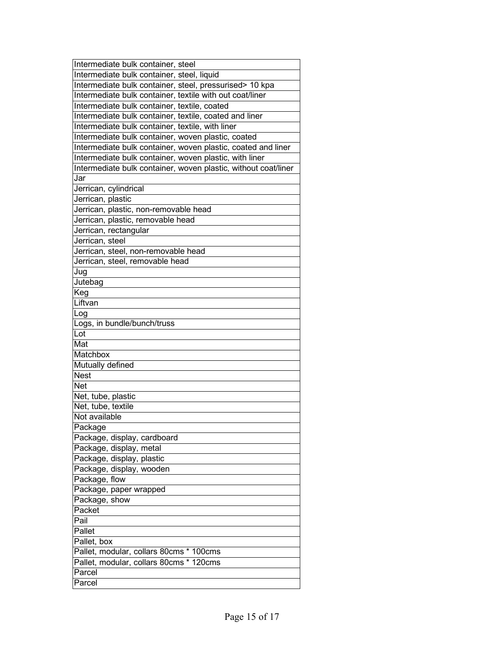| Intermediate bulk container, steel                             |
|----------------------------------------------------------------|
| Intermediate bulk container, steel, liquid                     |
| Intermediate bulk container, steel, pressurised> 10 kpa        |
| Intermediate bulk container, textile with out coat/liner       |
|                                                                |
| Intermediate bulk container, textile, coated                   |
| Intermediate bulk container, textile, coated and liner         |
| Intermediate bulk container, textile, with liner               |
| Intermediate bulk container, woven plastic, coated             |
| Intermediate bulk container, woven plastic, coated and liner   |
| Intermediate bulk container, woven plastic, with liner         |
| Intermediate bulk container, woven plastic, without coat/liner |
| Jar                                                            |
| Jerrican, cylindrical                                          |
| Jerrican, plastic                                              |
| Jerrican, plastic, non-removable head                          |
| Jerrican, plastic, removable head                              |
| Jerrican, rectangular                                          |
| Jerrican, steel                                                |
| Jerrican, steel, non-removable head                            |
| Jerrican, steel, removable head                                |
| Jug                                                            |
| Jutebag                                                        |
| Keg                                                            |
| Liftvan                                                        |
|                                                                |
| Log                                                            |
| Logs, in bundle/bunch/truss                                    |
|                                                                |
| Lot                                                            |
| Mat                                                            |
| Matchbox                                                       |
| Mutually defined                                               |
| <b>Nest</b>                                                    |
| Net                                                            |
| Net, tube, plastic                                             |
| Net, tube, textile                                             |
| Not available                                                  |
| Package                                                        |
| Package, display, cardboard                                    |
|                                                                |
| Package, display, metal                                        |
| Package, display, plastic                                      |
| Package, display, wooden                                       |
| Package, flow                                                  |
| Package, paper wrapped                                         |
| Package, show                                                  |
| Packet                                                         |
| Pail                                                           |
| Pallet                                                         |
| Pallet, box                                                    |
| Pallet, modular, collars 80cms * 100cms                        |
| Pallet, modular, collars 80cms * 120cms                        |
| Parcel<br>Parcel                                               |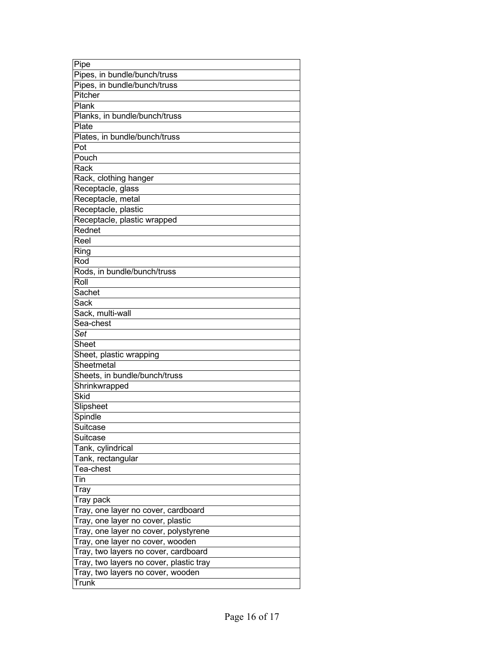| Pipe                                    |
|-----------------------------------------|
| Pipes, in bundle/bunch/truss            |
| Pipes, in bundle/bunch/truss            |
| Pitcher                                 |
| Plank                                   |
| Planks, in bundle/bunch/truss           |
| Plate                                   |
| Plates, in bundle/bunch/truss           |
| Pot                                     |
| Pouch                                   |
| Rack                                    |
| Rack, clothing hanger                   |
| Receptacle, glass                       |
| Receptacle, metal                       |
| Receptacle, plastic                     |
| Receptacle, plastic wrapped             |
| Rednet                                  |
| Reel                                    |
| Ring                                    |
| Rod                                     |
| Rods, in bundle/bunch/truss             |
| Roll                                    |
| Sachet                                  |
| Sack                                    |
| Sack, multi-wall                        |
| Sea-chest                               |
| Set                                     |
| Sheet                                   |
| Sheet, plastic wrapping                 |
| $\overline{\mathsf{S}}$ heetmetal       |
| Sheets, in bundle/bunch/truss           |
| Shrinkwrapped                           |
| Skid                                    |
| Slipsheet                               |
| Spindle                                 |
| Suitcase                                |
| Suitcase                                |
| Tank, cylindrical                       |
| Tank, rectangular                       |
| Tea-chest                               |
| Tin                                     |
| Tray                                    |
| Tray pack                               |
| Tray, one layer no cover, cardboard     |
| Tray, one layer no cover, plastic       |
| Tray, one layer no cover, polystyrene   |
| Tray, one layer no cover, wooden        |
| Tray, two layers no cover, cardboard    |
| Tray, two layers no cover, plastic tray |
| Tray, two layers no cover, wooden       |
| Trunk                                   |